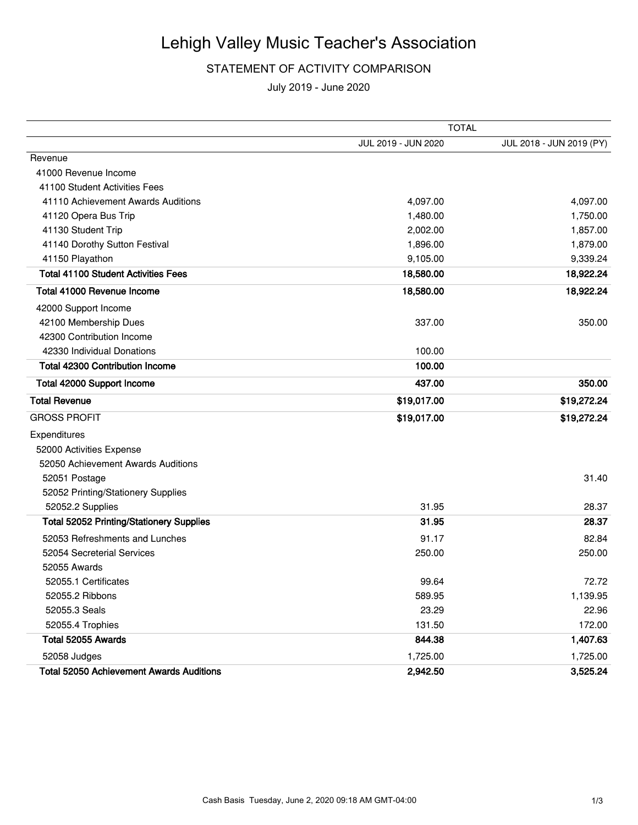#### STATEMENT OF ACTIVITY COMPARISON

|                                                 | <b>TOTAL</b>        |                          |  |
|-------------------------------------------------|---------------------|--------------------------|--|
|                                                 | JUL 2019 - JUN 2020 | JUL 2018 - JUN 2019 (PY) |  |
| Revenue                                         |                     |                          |  |
| 41000 Revenue Income                            |                     |                          |  |
| 41100 Student Activities Fees                   |                     |                          |  |
| 41110 Achievement Awards Auditions              | 4,097.00            | 4,097.00                 |  |
| 41120 Opera Bus Trip                            | 1,480.00            | 1,750.00                 |  |
| 41130 Student Trip                              | 2,002.00            | 1,857.00                 |  |
| 41140 Dorothy Sutton Festival                   | 1,896.00            | 1,879.00                 |  |
| 41150 Playathon                                 | 9,105.00            | 9,339.24                 |  |
| <b>Total 41100 Student Activities Fees</b>      | 18,580.00           | 18,922.24                |  |
| Total 41000 Revenue Income                      | 18,580.00           | 18,922.24                |  |
| 42000 Support Income                            |                     |                          |  |
| 42100 Membership Dues                           | 337.00              | 350.00                   |  |
| 42300 Contribution Income                       |                     |                          |  |
| 42330 Individual Donations                      | 100.00              |                          |  |
| <b>Total 42300 Contribution Income</b>          | 100.00              |                          |  |
| Total 42000 Support Income                      | 437.00              | 350.00                   |  |
| <b>Total Revenue</b>                            | \$19,017.00         | \$19,272.24              |  |
| <b>GROSS PROFIT</b>                             | \$19,017.00         | \$19,272.24              |  |
| Expenditures                                    |                     |                          |  |
| 52000 Activities Expense                        |                     |                          |  |
| 52050 Achievement Awards Auditions              |                     |                          |  |
| 52051 Postage                                   |                     | 31.40                    |  |
| 52052 Printing/Stationery Supplies              |                     |                          |  |
| 52052.2 Supplies                                | 31.95               | 28.37                    |  |
| <b>Total 52052 Printing/Stationery Supplies</b> | 31.95               | 28.37                    |  |
| 52053 Refreshments and Lunches                  | 91.17               | 82.84                    |  |
| 52054 Secreterial Services                      | 250.00              | 250.00                   |  |
| 52055 Awards                                    |                     |                          |  |
| 52055.1 Certificates                            | 99.64               | 72.72                    |  |
| 52055.2 Ribbons                                 | 589.95              | 1,139.95                 |  |
| 52055.3 Seals                                   | 23.29               | 22.96                    |  |
| 52055.4 Trophies                                | 131.50              | 172.00                   |  |
| Total 52055 Awards                              | 844.38              | 1,407.63                 |  |
| 52058 Judges                                    | 1,725.00            | 1,725.00                 |  |
| <b>Total 52050 Achievement Awards Auditions</b> | 2,942.50            | 3,525.24                 |  |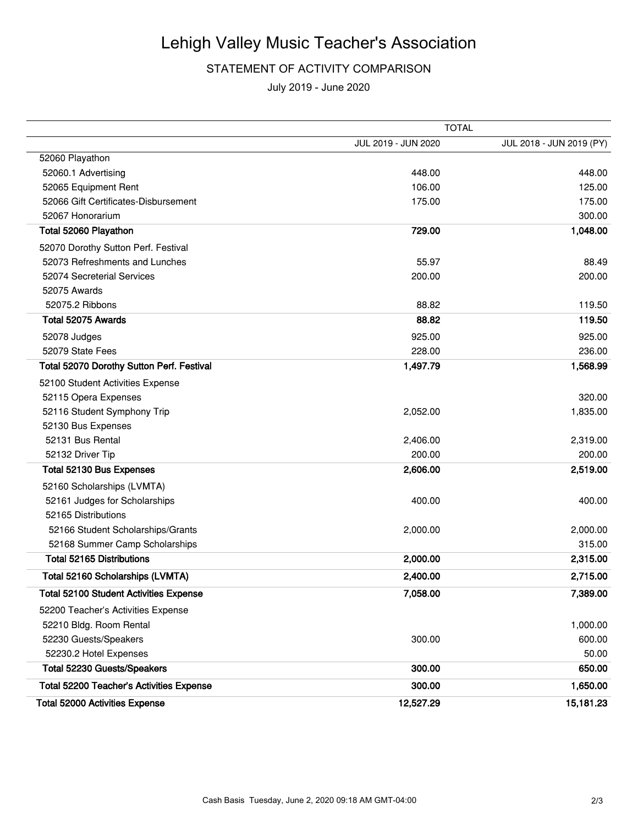#### STATEMENT OF ACTIVITY COMPARISON

|                                               | <b>TOTAL</b>        |                          |  |  |
|-----------------------------------------------|---------------------|--------------------------|--|--|
|                                               | JUL 2019 - JUN 2020 | JUL 2018 - JUN 2019 (PY) |  |  |
| 52060 Playathon                               |                     |                          |  |  |
| 52060.1 Advertising                           | 448.00              | 448.00                   |  |  |
| 52065 Equipment Rent                          | 106.00              | 125.00                   |  |  |
| 52066 Gift Certificates-Disbursement          | 175.00              | 175.00                   |  |  |
| 52067 Honorarium                              |                     | 300.00                   |  |  |
| Total 52060 Playathon                         | 729.00              | 1,048.00                 |  |  |
| 52070 Dorothy Sutton Perf. Festival           |                     |                          |  |  |
| 52073 Refreshments and Lunches                | 55.97               | 88.49                    |  |  |
| 52074 Secreterial Services                    | 200.00              | 200.00                   |  |  |
| 52075 Awards                                  |                     |                          |  |  |
| 52075.2 Ribbons                               | 88.82               | 119.50                   |  |  |
| Total 52075 Awards                            | 88.82               | 119.50                   |  |  |
| 52078 Judges                                  | 925.00              | 925.00                   |  |  |
| 52079 State Fees                              | 228.00              | 236.00                   |  |  |
| Total 52070 Dorothy Sutton Perf. Festival     | 1,497.79            | 1,568.99                 |  |  |
| 52100 Student Activities Expense              |                     |                          |  |  |
| 52115 Opera Expenses                          |                     | 320.00                   |  |  |
| 52116 Student Symphony Trip                   | 2,052.00            | 1,835.00                 |  |  |
| 52130 Bus Expenses                            |                     |                          |  |  |
| 52131 Bus Rental                              | 2,406.00            | 2,319.00                 |  |  |
| 52132 Driver Tip                              | 200.00              | 200.00                   |  |  |
| Total 52130 Bus Expenses                      | 2,606.00            | 2,519.00                 |  |  |
| 52160 Scholarships (LVMTA)                    |                     |                          |  |  |
| 52161 Judges for Scholarships                 | 400.00              | 400.00                   |  |  |
| 52165 Distributions                           |                     |                          |  |  |
| 52166 Student Scholarships/Grants             | 2,000.00            | 2,000.00                 |  |  |
| 52168 Summer Camp Scholarships                |                     | 315.00                   |  |  |
| <b>Total 52165 Distributions</b>              | 2,000.00            | 2,315.00                 |  |  |
| Total 52160 Scholarships (LVMTA)              | 2,400.00            | 2,715.00                 |  |  |
| <b>Total 52100 Student Activities Expense</b> | 7,058.00            | 7,389.00                 |  |  |
| 52200 Teacher's Activities Expense            |                     |                          |  |  |
| 52210 Bldg. Room Rental                       |                     | 1,000.00                 |  |  |
| 52230 Guests/Speakers                         | 300.00              | 600.00                   |  |  |
| 52230.2 Hotel Expenses                        |                     | 50.00                    |  |  |
| Total 52230 Guests/Speakers                   | 300.00              | 650.00                   |  |  |
| Total 52200 Teacher's Activities Expense      | 300.00              | 1,650.00                 |  |  |
| <b>Total 52000 Activities Expense</b>         | 12,527.29           | 15,181.23                |  |  |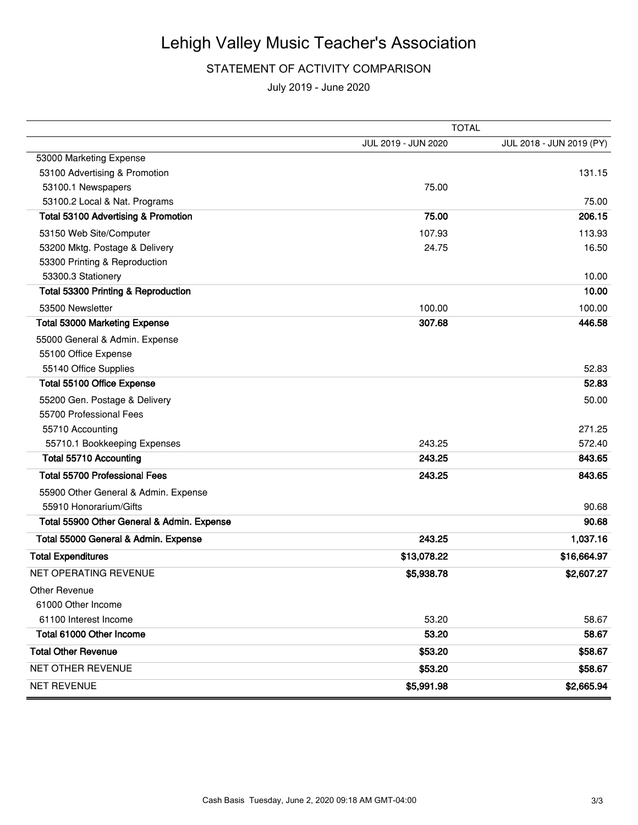#### STATEMENT OF ACTIVITY COMPARISON

|                                            | <b>TOTAL</b>        |                          |  |  |
|--------------------------------------------|---------------------|--------------------------|--|--|
|                                            | JUL 2019 - JUN 2020 | JUL 2018 - JUN 2019 (PY) |  |  |
| 53000 Marketing Expense                    |                     |                          |  |  |
| 53100 Advertising & Promotion              |                     | 131.15                   |  |  |
| 53100.1 Newspapers                         | 75.00               |                          |  |  |
| 53100.2 Local & Nat. Programs              |                     | 75.00                    |  |  |
| Total 53100 Advertising & Promotion        | 75.00               | 206.15                   |  |  |
| 53150 Web Site/Computer                    | 107.93              | 113.93                   |  |  |
| 53200 Mktg. Postage & Delivery             | 24.75               | 16.50                    |  |  |
| 53300 Printing & Reproduction              |                     |                          |  |  |
| 53300.3 Stationery                         |                     | 10.00                    |  |  |
| Total 53300 Printing & Reproduction        |                     | 10.00                    |  |  |
| 53500 Newsletter                           | 100.00              | 100.00                   |  |  |
| <b>Total 53000 Marketing Expense</b>       | 307.68              | 446.58                   |  |  |
| 55000 General & Admin. Expense             |                     |                          |  |  |
| 55100 Office Expense                       |                     |                          |  |  |
| 55140 Office Supplies                      |                     | 52.83                    |  |  |
| Total 55100 Office Expense                 |                     | 52.83                    |  |  |
| 55200 Gen. Postage & Delivery              |                     | 50.00                    |  |  |
| 55700 Professional Fees                    |                     |                          |  |  |
| 55710 Accounting                           |                     | 271.25                   |  |  |
| 55710.1 Bookkeeping Expenses               | 243.25              | 572.40                   |  |  |
| <b>Total 55710 Accounting</b>              | 243.25              | 843.65                   |  |  |
| <b>Total 55700 Professional Fees</b>       | 243.25              | 843.65                   |  |  |
| 55900 Other General & Admin. Expense       |                     |                          |  |  |
| 55910 Honorarium/Gifts                     |                     | 90.68                    |  |  |
| Total 55900 Other General & Admin. Expense |                     | 90.68                    |  |  |
| Total 55000 General & Admin. Expense       | 243.25              | 1,037.16                 |  |  |
| <b>Total Expenditures</b>                  | \$13,078.22         | \$16,664.97              |  |  |
| NET OPERATING REVENUE                      | \$5,938.78          | \$2,607.27               |  |  |
| Other Revenue                              |                     |                          |  |  |
| 61000 Other Income                         |                     |                          |  |  |
| 61100 Interest Income                      | 53.20               | 58.67                    |  |  |
| Total 61000 Other Income                   | 53.20               | 58.67                    |  |  |
| <b>Total Other Revenue</b>                 | \$53.20             | \$58.67                  |  |  |
| NET OTHER REVENUE                          | \$53.20             | \$58.67                  |  |  |
| <b>NET REVENUE</b>                         | \$5,991.98          | \$2,665.94               |  |  |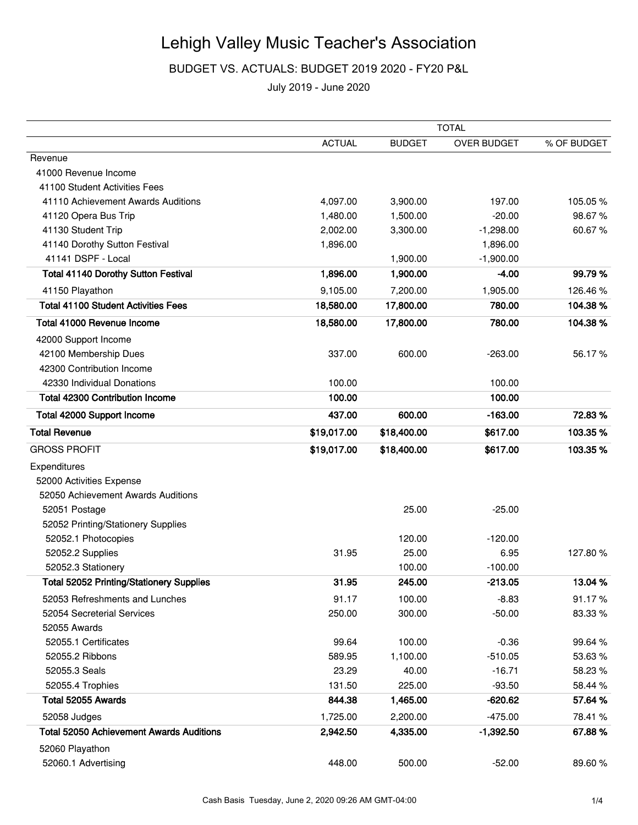### BUDGET VS. ACTUALS: BUDGET 2019 2020 - FY20 P&L

|                                                 | <b>TOTAL</b>  |               |             |             |
|-------------------------------------------------|---------------|---------------|-------------|-------------|
|                                                 | <b>ACTUAL</b> | <b>BUDGET</b> | OVER BUDGET | % OF BUDGET |
| Revenue                                         |               |               |             |             |
| 41000 Revenue Income                            |               |               |             |             |
| 41100 Student Activities Fees                   |               |               |             |             |
| 41110 Achievement Awards Auditions              | 4,097.00      | 3,900.00      | 197.00      | 105.05%     |
| 41120 Opera Bus Trip                            | 1,480.00      | 1,500.00      | $-20.00$    | 98.67%      |
| 41130 Student Trip                              | 2,002.00      | 3,300.00      | $-1,298.00$ | 60.67%      |
| 41140 Dorothy Sutton Festival                   | 1,896.00      |               | 1,896.00    |             |
| 41141 DSPF - Local                              |               | 1,900.00      | $-1,900.00$ |             |
| <b>Total 41140 Dorothy Sutton Festival</b>      | 1,896.00      | 1,900.00      | $-4.00$     | 99.79%      |
| 41150 Playathon                                 | 9,105.00      | 7,200.00      | 1,905.00    | 126.46%     |
| <b>Total 41100 Student Activities Fees</b>      | 18,580.00     | 17,800.00     | 780.00      | 104.38%     |
| Total 41000 Revenue Income                      | 18,580.00     | 17,800.00     | 780.00      | 104.38%     |
| 42000 Support Income                            |               |               |             |             |
| 42100 Membership Dues                           | 337.00        | 600.00        | $-263.00$   | 56.17%      |
| 42300 Contribution Income                       |               |               |             |             |
| 42330 Individual Donations                      | 100.00        |               | 100.00      |             |
| <b>Total 42300 Contribution Income</b>          | 100.00        |               | 100.00      |             |
| Total 42000 Support Income                      | 437.00        | 600.00        | $-163.00$   | 72.83%      |
| <b>Total Revenue</b>                            | \$19,017.00   | \$18,400.00   | \$617.00    | 103.35%     |
| <b>GROSS PROFIT</b>                             | \$19,017.00   | \$18,400.00   | \$617.00    | 103.35%     |
| Expenditures                                    |               |               |             |             |
| 52000 Activities Expense                        |               |               |             |             |
| 52050 Achievement Awards Auditions              |               |               |             |             |
| 52051 Postage                                   |               | 25.00         | $-25.00$    |             |
| 52052 Printing/Stationery Supplies              |               |               |             |             |
| 52052.1 Photocopies                             |               | 120.00        | $-120.00$   |             |
| 52052.2 Supplies                                | 31.95         | 25.00         | 6.95        | 127.80%     |
| 52052.3 Stationery                              |               | 100.00        | $-100.00$   |             |
| <b>Total 52052 Printing/Stationery Supplies</b> | 31.95         | 245.00        | $-213.05$   | 13.04 %     |
| 52053 Refreshments and Lunches                  | 91.17         | 100.00        | $-8.83$     | 91.17%      |
| 52054 Secreterial Services                      | 250.00        | 300.00        | $-50.00$    | 83.33 %     |
| 52055 Awards                                    |               |               |             |             |
| 52055.1 Certificates                            | 99.64         | 100.00        | $-0.36$     | 99.64 %     |
| 52055.2 Ribbons                                 | 589.95        | 1,100.00      | $-510.05$   | 53.63%      |
| 52055.3 Seals                                   | 23.29         | 40.00         | $-16.71$    | 58.23%      |
| 52055.4 Trophies                                | 131.50        | 225.00        | $-93.50$    | 58.44 %     |
| Total 52055 Awards                              | 844.38        | 1,465.00      | $-620.62$   | 57.64%      |
| 52058 Judges                                    | 1,725.00      | 2,200.00      | $-475.00$   | 78.41 %     |
| <b>Total 52050 Achievement Awards Auditions</b> | 2,942.50      | 4,335.00      | $-1,392.50$ | 67.88%      |
| 52060 Playathon                                 |               |               |             |             |
| 52060.1 Advertising                             | 448.00        | 500.00        | $-52.00$    | 89.60%      |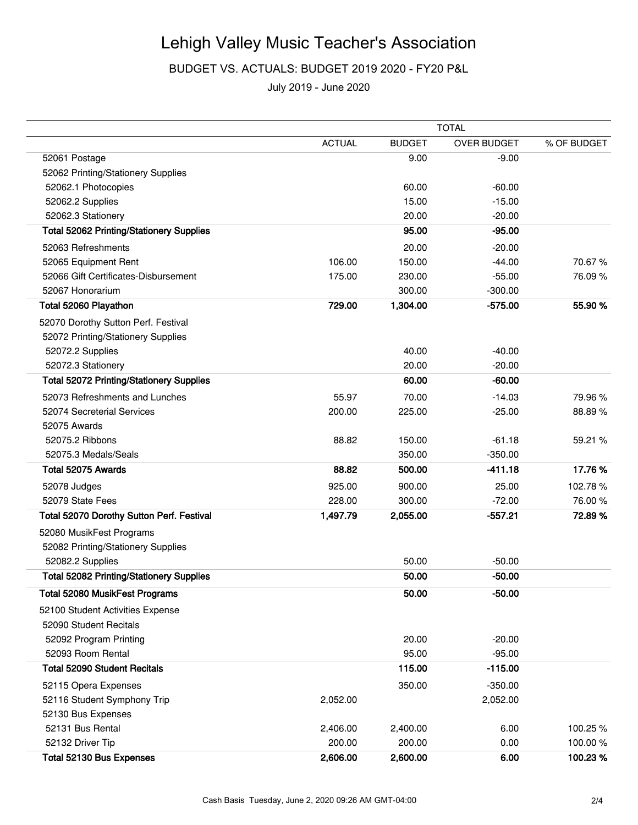BUDGET VS. ACTUALS: BUDGET 2019 2020 - FY20 P&L

|                                                 | <b>TOTAL</b>  |               |                    |             |
|-------------------------------------------------|---------------|---------------|--------------------|-------------|
|                                                 | <b>ACTUAL</b> | <b>BUDGET</b> | <b>OVER BUDGET</b> | % OF BUDGET |
| 52061 Postage                                   |               | 9.00          | $-9.00$            |             |
| 52062 Printing/Stationery Supplies              |               |               |                    |             |
| 52062.1 Photocopies                             |               | 60.00         | $-60.00$           |             |
| 52062.2 Supplies                                |               | 15.00         | $-15.00$           |             |
| 52062.3 Stationery                              |               | 20.00         | $-20.00$           |             |
| <b>Total 52062 Printing/Stationery Supplies</b> |               | 95.00         | $-95.00$           |             |
| 52063 Refreshments                              |               | 20.00         | $-20.00$           |             |
| 52065 Equipment Rent                            | 106.00        | 150.00        | $-44.00$           | 70.67%      |
| 52066 Gift Certificates-Disbursement            | 175.00        | 230.00        | $-55.00$           | 76.09%      |
| 52067 Honorarium                                |               | 300.00        | $-300.00$          |             |
| Total 52060 Playathon                           | 729.00        | 1,304.00      | $-575.00$          | 55.90 %     |
| 52070 Dorothy Sutton Perf. Festival             |               |               |                    |             |
| 52072 Printing/Stationery Supplies              |               |               |                    |             |
| 52072.2 Supplies                                |               | 40.00         | $-40.00$           |             |
| 52072.3 Stationery                              |               | 20.00         | $-20.00$           |             |
| <b>Total 52072 Printing/Stationery Supplies</b> |               | 60.00         | $-60.00$           |             |
| 52073 Refreshments and Lunches                  | 55.97         | 70.00         | $-14.03$           | 79.96 %     |
| 52074 Secreterial Services                      | 200.00        | 225.00        | $-25.00$           | 88.89%      |
| 52075 Awards                                    |               |               |                    |             |
| 52075.2 Ribbons                                 | 88.82         | 150.00        | $-61.18$           | 59.21 %     |
| 52075.3 Medals/Seals                            |               | 350.00        | $-350.00$          |             |
| Total 52075 Awards                              | 88.82         | 500.00        | $-411.18$          | 17.76%      |
| 52078 Judges                                    | 925.00        | 900.00        | 25.00              | 102.78%     |
| 52079 State Fees                                | 228.00        | 300.00        | $-72.00$           | 76.00%      |
| Total 52070 Dorothy Sutton Perf. Festival       | 1,497.79      | 2,055.00      | $-557.21$          | 72.89%      |
| 52080 MusikFest Programs                        |               |               |                    |             |
| 52082 Printing/Stationery Supplies              |               |               |                    |             |
| 52082.2 Supplies                                |               | 50.00         | $-50.00$           |             |
| <b>Total 52082 Printing/Stationery Supplies</b> |               | 50.00         | $-50.00$           |             |
| Total 52080 MusikFest Programs                  |               | 50.00         | $-50.00$           |             |
| 52100 Student Activities Expense                |               |               |                    |             |
| 52090 Student Recitals                          |               |               |                    |             |
| 52092 Program Printing                          |               | 20.00         | $-20.00$           |             |
| 52093 Room Rental                               |               | 95.00         | $-95.00$           |             |
| <b>Total 52090 Student Recitals</b>             |               | 115.00        | $-115.00$          |             |
| 52115 Opera Expenses                            |               | 350.00        | $-350.00$          |             |
| 52116 Student Symphony Trip                     | 2,052.00      |               | 2,052.00           |             |
| 52130 Bus Expenses                              |               |               |                    |             |
| 52131 Bus Rental                                | 2,406.00      | 2,400.00      | 6.00               | 100.25%     |
| 52132 Driver Tip                                | 200.00        | 200.00        | 0.00               | 100.00%     |
| Total 52130 Bus Expenses                        | 2,606.00      | 2,600.00      | 6.00               | 100.23%     |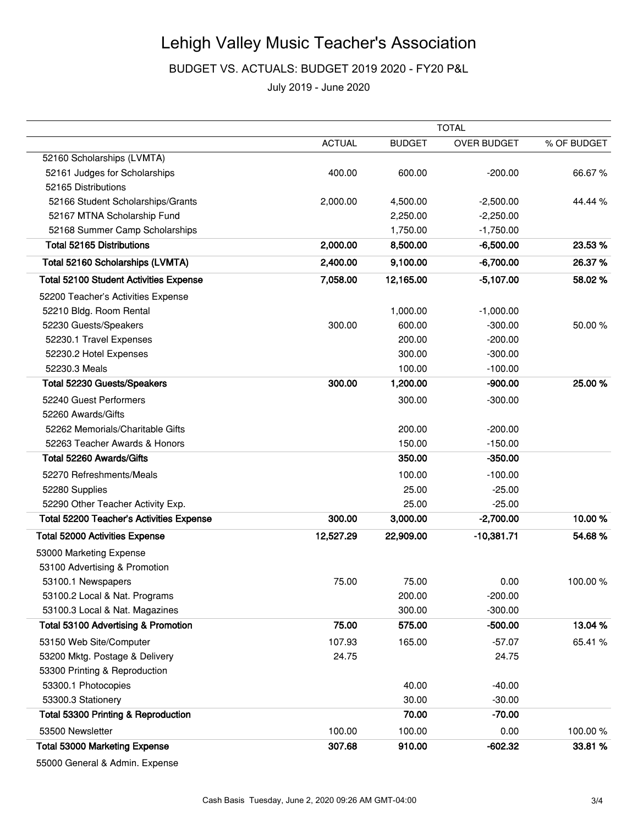BUDGET VS. ACTUALS: BUDGET 2019 2020 - FY20 P&L

July 2019 - June 2020

|                                                 | <b>TOTAL</b>  |               |                    |             |
|-------------------------------------------------|---------------|---------------|--------------------|-------------|
|                                                 | <b>ACTUAL</b> | <b>BUDGET</b> | <b>OVER BUDGET</b> | % OF BUDGET |
| 52160 Scholarships (LVMTA)                      |               |               |                    |             |
| 52161 Judges for Scholarships                   | 400.00        | 600.00        | $-200.00$          | 66.67%      |
| 52165 Distributions                             |               |               |                    |             |
| 52166 Student Scholarships/Grants               | 2,000.00      | 4,500.00      | $-2,500.00$        | 44.44 %     |
| 52167 MTNA Scholarship Fund                     |               | 2,250.00      | $-2,250.00$        |             |
| 52168 Summer Camp Scholarships                  |               | 1,750.00      | $-1,750.00$        |             |
| <b>Total 52165 Distributions</b>                | 2,000.00      | 8,500.00      | $-6,500.00$        | 23.53%      |
| Total 52160 Scholarships (LVMTA)                | 2,400.00      | 9,100.00      | $-6,700.00$        | 26.37%      |
| <b>Total 52100 Student Activities Expense</b>   | 7,058.00      | 12,165.00     | $-5,107.00$        | 58.02%      |
| 52200 Teacher's Activities Expense              |               |               |                    |             |
| 52210 Bldg. Room Rental                         |               | 1,000.00      | $-1,000.00$        |             |
| 52230 Guests/Speakers                           | 300.00        | 600.00        | $-300.00$          | 50.00 %     |
| 52230.1 Travel Expenses                         |               | 200.00        | $-200.00$          |             |
| 52230.2 Hotel Expenses                          |               | 300.00        | $-300.00$          |             |
| 52230.3 Meals                                   |               | 100.00        | $-100.00$          |             |
| Total 52230 Guests/Speakers                     | 300.00        | 1,200.00      | $-900.00$          | 25.00 %     |
| 52240 Guest Performers                          |               | 300.00        | $-300.00$          |             |
| 52260 Awards/Gifts                              |               |               |                    |             |
| 52262 Memorials/Charitable Gifts                |               | 200.00        | $-200.00$          |             |
| 52263 Teacher Awards & Honors                   |               | 150.00        | $-150.00$          |             |
| Total 52260 Awards/Gifts                        |               | 350.00        | $-350.00$          |             |
| 52270 Refreshments/Meals                        |               | 100.00        | $-100.00$          |             |
| 52280 Supplies                                  |               | 25.00         | $-25.00$           |             |
| 52290 Other Teacher Activity Exp.               |               | 25.00         | $-25.00$           |             |
| <b>Total 52200 Teacher's Activities Expense</b> | 300.00        | 3,000.00      | $-2,700.00$        | 10.00%      |
| <b>Total 52000 Activities Expense</b>           | 12,527.29     | 22,909.00     | $-10,381.71$       | 54.68%      |
| 53000 Marketing Expense                         |               |               |                    |             |
| 53100 Advertising & Promotion                   |               |               |                    |             |
| 53100.1 Newspapers                              | 75.00         | 75.00         | 0.00               | 100.00%     |
| 53100.2 Local & Nat. Programs                   |               | 200.00        | $-200.00$          |             |
| 53100.3 Local & Nat. Magazines                  |               | 300.00        | $-300.00$          |             |
| Total 53100 Advertising & Promotion             | 75.00         | 575.00        | $-500.00$          | 13.04 %     |
| 53150 Web Site/Computer                         | 107.93        | 165.00        | $-57.07$           | 65.41 %     |
| 53200 Mktg. Postage & Delivery                  | 24.75         |               | 24.75              |             |
| 53300 Printing & Reproduction                   |               |               |                    |             |
| 53300.1 Photocopies                             |               | 40.00         | $-40.00$           |             |
| 53300.3 Stationery                              |               | 30.00         | $-30.00$           |             |
| <b>Total 53300 Printing &amp; Reproduction</b>  |               | 70.00         | $-70.00$           |             |
| 53500 Newsletter                                | 100.00        | 100.00        | 0.00               | 100.00%     |
| <b>Total 53000 Marketing Expense</b>            | 307.68        | 910.00        | $-602.32$          | 33.81%      |
|                                                 |               |               |                    |             |

55000 General & Admin. Expense